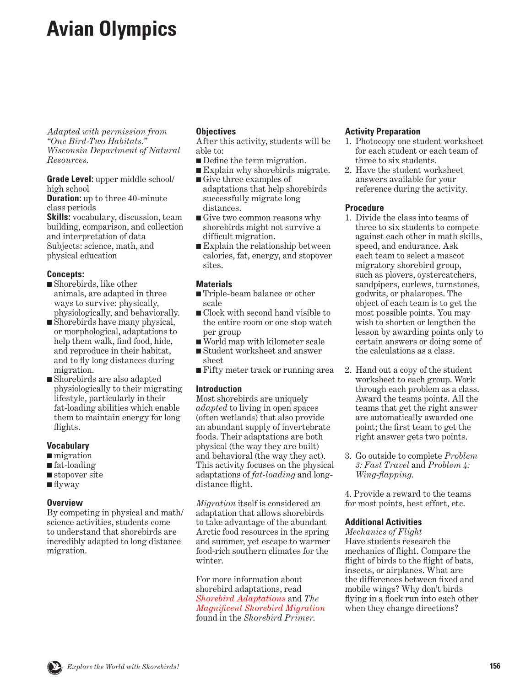# <span id="page-0-0"></span>**Avian Olympics**

*Adapted with permission from "One Bird-Two Habitats." Wisconsin Department of Natural Resources.*

**Grade Level:** upper middle school/ high school

**Duration:** up to three 40-minute class periods

**Skills:** vocabulary, discussion, team building, comparison, and collection and interpretation of data Subjects: science, math, and physical education

## **Concepts:**

- Shorebirds, like other animals, are adapted in three ways to survive: physically, physiologically, and behaviorally.
- Shorebirds have many physical, or morphological, adaptations to help them walk, find food, hide, and reproduce in their habitat, and to fly long distances during migration.
- Shorebirds are also adapted physiologically to their migrating lifestyle, particularly in their fat-loading abilities which enable them to maintain energy for long flights.

## **Vocabulary**

- migration
- fat-loading
- stopover site
- flyway

## **Overview**

By competing in physical and math/ science activities, students come to understand that shorebirds are incredibly adapted to long distance migration.

## **Objectives**

After this activity, students will be able to:

- Define the term migration.
- Explain why shorebirds migrate. ■ Give three examples of
- adaptations that help shorebirds successfully migrate long distances.
- Give two common reasons why shorebirds might not survive a difficult migration.
- Explain the relationship between calories, fat, energy, and stopover sites.

## **Materials**

- Triple-beam balance or other scale
- Clock with second hand visible to the entire room or one stop watch per group
- World map with kilometer scale
- Student worksheet and answer sheet
- Fifty meter track or running area

## **Introduction**

Most shorebirds are uniquely *adapted* to living in open spaces (often wetlands) that also provide an abundant supply of invertebrate foods. Their adaptations are both physical (the way they are built) and behavioral (the way they act). This activity focuses on the physical adaptations of *fat-loading* and longdistance flight.

*Migration* itself is considered an adaptation that allows shorebirds to take advantage of the abundant Arctic food resources in the spring and summer, yet escape to warmer food-rich southern climates for the winter.

For more information about shorebird adaptations, read *[Shorebird Adaptations](#page-11-0)* and *The [Magnificent Shorebird Migration](#page-14-0)* found in the *Shorebird Primer*.

### **Activity Preparation**

- 1. Photocopy one student worksheet for each student or each team of three to six students.
- 2. Have the student worksheet answers available for your reference during the activity.

## **Procedure**

- 1. Divide the class into teams of three to six students to compete against each other in math skills, speed, and endurance. Ask each team to select a mascot migratory shorebird group, such as plovers, oystercatchers, sandpipers, curlews, turnstones, godwits, or phalaropes. The object of each team is to get the most possible points. You may wish to shorten or lengthen the lesson by awarding points only to certain answers or doing some of the calculations as a class.
- 2. Hand out a copy of the student worksheet to each group. Work through each problem as a class. Award the teams points. All the teams that get the right answer are automatically awarded one point; the first team to get the right answer gets two points.
- 3. Go outside to complete *Problem 3: Fast Travel* and *Problem 4: Wing-flapping.*

4. Provide a reward to the teams for most points, best effort, etc.

## **Additional Activities**

*Mechanics of Flight* Have students research the mechanics of flight. Compare the flight of birds to the flight of bats, insects, or airplanes. What are the differences between fixed and mobile wings? Why don't birds flying in a flock run into each other when they change directions?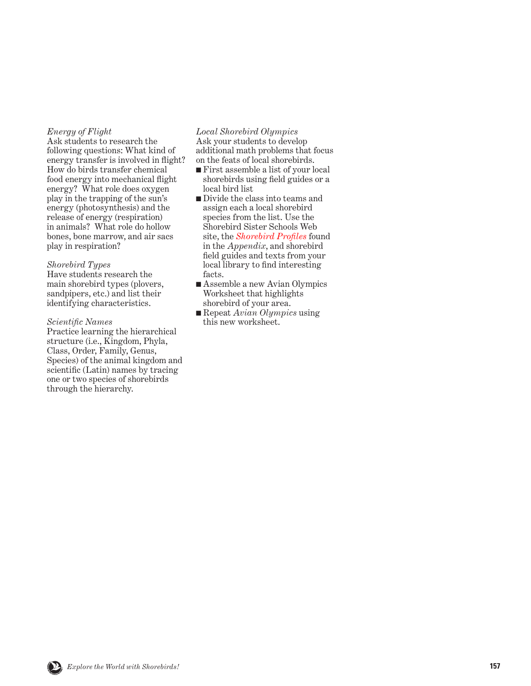### *Energy of Flight*

Ask students to research the following questions: What kind of energy transfer is involved in flight? How do birds transfer chemical food energy into mechanical flight energy? What role does oxygen play in the trapping of the sun's energy (photosynthesis) and the release of energy (respiration) in animals? What role do hollow bones, bone marrow, and air sacs play in respiration?

#### *Shorebird Types*

Have students research the main shorebird types (plovers, sandpipers, etc.) and list their identifying characteristics.

#### *Scientific Names*

Practice learning the hierarchical structure (i.e., Kingdom, Phyla, Class, Order, Family, Genus, Species) of the animal kingdom and scientific (Latin) names by tracing one or two species of shorebirds through the hierarchy.

#### *Local Shorebird Olympics* Ask your students to develop additional math problems that focus on the feats of local shorebirds.

- First assemble a list of your local shorebirds using field guides or a local bird list
- Divide the class into teams and assign each a local shorebird species from the list. Use the Shorebird Sister Schools Web site, the *[Shorebird Profiles](#page-0-0)* found in the *Appendix*, and shorebird field guides and texts from your local library to find interesting facts.
- Assemble a new Avian Olympics Worksheet that highlights shorebird of your area.
- Repeat *Avian Olympics* using this new worksheet.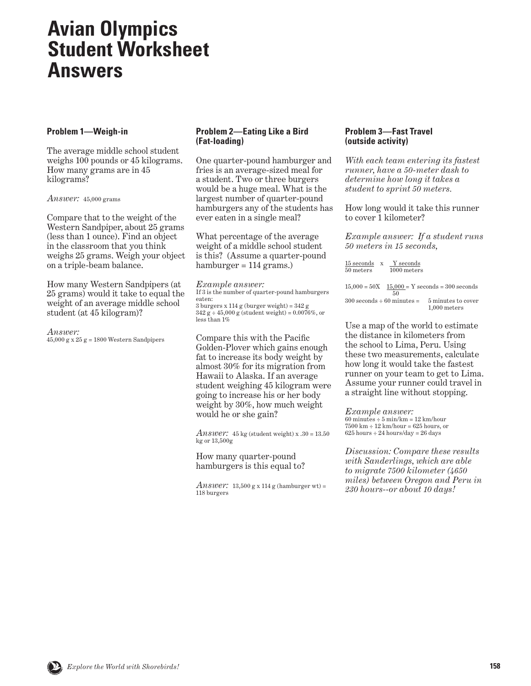## **Avian Olympics Student Worksheet Answers**

## **Problem 1—Weigh-in**

The average middle school student weighs 100 pounds or 45 kilograms. How many grams are in 45 kilograms?

*Answer:* 45,000 grams

Compare that to the weight of the Western Sandpiper, about 25 grams (less than 1 ounce). Find an object in the classroom that you think weighs 25 grams. Weigh your object on a triple-beam balance.

How many Western Sandpipers (at 25 grams) would it take to equal the weight of an average middle school student (at 45 kilogram)?

*Answer:*   $45,000 \text{ g} \times 25 \text{ g} = 1800 \text{ Western Sandpipers}$ 

## **Problem 2—Eating Like a Bird (Fat-loading)**

One quarter-pound hamburger and fries is an average-sized meal for a student. Two or three burgers would be a huge meal. What is the largest number of quarter-pound hamburgers any of the students has ever eaten in a single meal?

What percentage of the average weight of a middle school student is this? (Assume a quarter-pound hamburger  $= 114$  grams.)

*Example answer:*  If 3 is the number of quarter-pound hamburgers eaten: 3 burgers x 114 g (burger weight) = 342 g  $342 g \div 45,000 g$  (student weight) =  $0.0076\%$ , or less than 1%

Compare this with the Pacific Golden-Plover which gains enough fat to increase its body weight by almost 30% for its migration from Hawaii to Alaska. If an average student weighing 45 kilogram were going to increase his or her body weight by 30%, how much weight would he or she gain?

*Answer*:  $45 \text{ kg}$  (student weight) x  $.30 = 13.50$ kg or 13,500g

How many quarter-pound hamburgers is this equal to?

*Answer*: 13,500 g x 114 g (hamburger wt) = 118 burgers

## **Problem 3—Fast Travel (outside activity)**

*With each team entering its fastest runner, have a 50-meter dash to determine how long it takes a student to sprint 50 meters.* 

How long would it take this runner to cover 1 kilometer?

*Example answer: If a student runs 50 meters in 15 seconds,*

| 15 seconds  | Y seconds     |
|-------------|---------------|
| $50$ meters | $1000$ meters |

| $15.000 = 50X$                    |     | $15.000 = Y$ seconds = 300 seconds |
|-----------------------------------|-----|------------------------------------|
|                                   | 50. |                                    |
| $300$ seconds $\div 60$ minutes = |     | 5 minutes to cover                 |
|                                   |     | $1,000$ meters                     |

Use a map of the world to estimate the distance in kilometers from the school to Lima, Peru. Using these two measurements, calculate how long it would take the fastest runner on your team to get to Lima. Assume your runner could travel in a straight line without stopping.

*Example answer:*   $60$  minutes  $\div$  5 min/km = 12 km/hour  $7500 \text{ km} \div 12 \text{ km/hour} = 625 \text{ hours, or}$  $625$  hours  $\div$  24 hours/day = 26 days

*Discussion: Compare these results with Sanderlings, which are able to migrate 7500 kilometer (4650 miles) between Oregon and Peru in 230 hours--or about 10 days!*

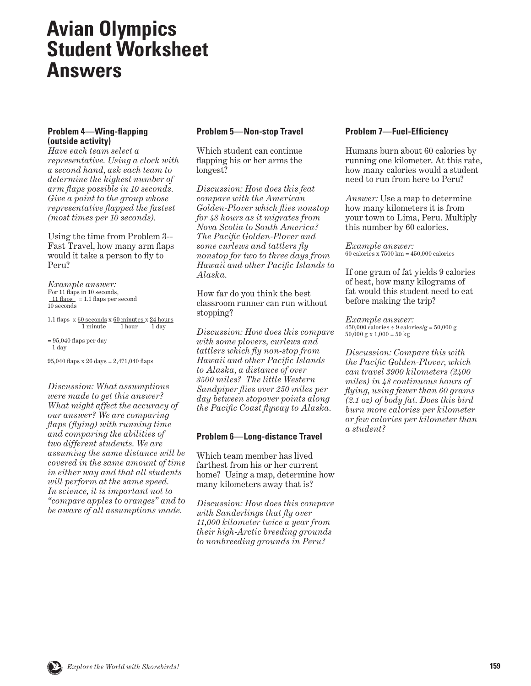## **Avian Olympics Student Worksheet Answers**

## **Problem 4—Wing-flapping (outside activity)**

*Have each team select a representative. Using a clock with a second hand, ask each team to determine the highest number of arm flaps possible in 10 seconds. Give a point to the group whose representative flapped the fastest (most times per 10 seconds).* 

Using the time from Problem 3-- Fast Travel, how many arm flaps would it take a person to fly to Peru?

*Example answer:*  For 11 flaps in 10 seconds,  $11$  flaps = 1.1 flaps per second 10 seconds

```
1.1 flaps x \frac{60 \text{ seconds}}{1 \text{ minute}} \times \frac{60 \text{ minutes}}{1 \text{ hour}} \times \frac{24 \text{ hours}}{1 \text{ day}}1 minute
```
 $= 95,040$  flaps per day

1 day

95,040 flaps x 26 days = 2,471,040 flaps

*Discussion: What assumptions were made to get this answer? What might affect the accuracy of our answer? We are comparing flaps (flying) with running time and comparing the abilities of two different students. We are assuming the same distance will be covered in the same amount of time in either way and that all students will perform at the same speed. In science, it is important not to "compare apples to oranges" and to be aware of all assumptions made.*

## **Problem 5—Non-stop Travel**

Which student can continue flapping his or her arms the longest?

*Discussion: How does this feat compare with the American Golden-Plover which flies nonstop for 48 hours as it migrates from Nova Scotia to South America? The Pacific Golden-Plover and some curlews and tattlers fly nonstop for two to three days from Hawaii and other Pacific Islands to Alaska.*

How far do you think the best classroom runner can run without stopping?

*Discussion: How does this compare with some plovers, curlews and tattlers which fly non-stop from Hawaii and other Pacific Islands to Alaska, a distance of over 3500 miles? The little Western Sandpiper flies over 250 miles per day between stopover points along the Pacific Coast flyway to Alaska.*

## **Problem 6—Long-distance Travel**

Which team member has lived farthest from his or her current home? Using a map, determine how many kilometers away that is?

*Discussion: How does this compare with Sanderlings that fly over 11,000 kilometer twice a year from their high-Arctic breeding grounds to nonbreeding grounds in Peru?*

## **Problem 7—Fuel-Efficiency**

Humans burn about 60 calories by running one kilometer. At this rate, how many calories would a student need to run from here to Peru?

*Answer:* Use a map to determine how many kilometers it is from your town to Lima, Peru. Multiply this number by 60 calories.

*Example answer:*  $60$  calories x  $7500$  km =  $450,000$  calories

If one gram of fat yields 9 calories of heat, how many kilograms of fat would this student need to eat before making the trip?

*Example answer:*  $450,000$  calories  $\div 9$  calories/g = 50,000 g  $50,000 \text{ g x } 1,000 = 50 \text{ kg}$ 

*Discussion: Compare this with the Pacific Golden-Plover, which can travel 3900 kilometers (2400 miles) in 48 continuous hours of flying, using fewer than 60 grams (2.1 oz) of body fat. Does this bird burn more calories per kilometer or few calories per kilometer than a student?*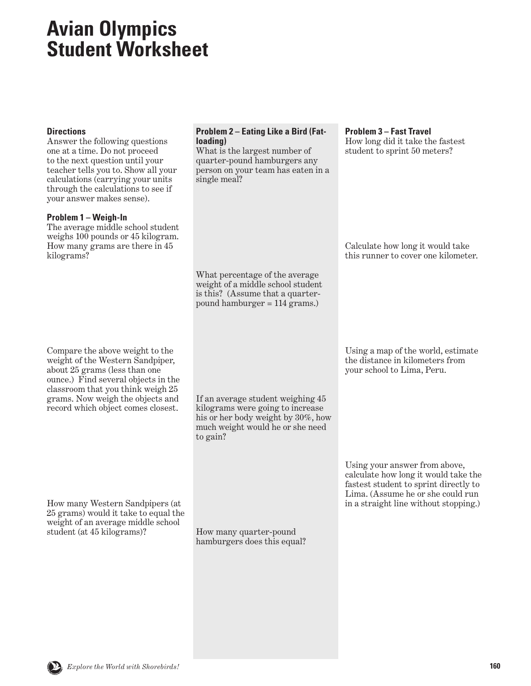## **Avian Olympics Student Worksheet**

| <b>Directions</b><br>Answer the following questions<br>one at a time. Do not proceed<br>to the next question until your<br>teacher tells you to. Show all your<br>calculations (carrying your units<br>through the calculations to see if<br>your answer makes sense). | <b>Problem 2 - Eating Like a Bird (Fat-</b><br>loading)<br>What is the largest number of<br>quarter-pound hamburgers any<br>person on your team has eaten in a<br>single meal? | <b>Problem 3-Fast Travel</b><br>How long did it take the fastest<br>student to sprint 50 meters?                                                                                             |
|------------------------------------------------------------------------------------------------------------------------------------------------------------------------------------------------------------------------------------------------------------------------|--------------------------------------------------------------------------------------------------------------------------------------------------------------------------------|----------------------------------------------------------------------------------------------------------------------------------------------------------------------------------------------|
| Problem 1 - Weigh-In<br>The average middle school student<br>weighs 100 pounds or 45 kilogram.<br>How many grams are there in 45<br>kilograms?                                                                                                                         | What percentage of the average                                                                                                                                                 | Calculate how long it would take<br>this runner to cover one kilometer.                                                                                                                      |
|                                                                                                                                                                                                                                                                        | weight of a middle school student<br>is this? (Assume that a quarter-<br>pound hamburger $= 114$ grams.)                                                                       |                                                                                                                                                                                              |
| Compare the above weight to the<br>weight of the Western Sandpiper,<br>about 25 grams (less than one<br>ounce.) Find several objects in the<br>classroom that you think weigh 25<br>grams. Now weigh the objects and<br>record which object comes closest.             | If an average student weighing 45<br>kilograms were going to increase<br>his or her body weight by 30%, how<br>much weight would he or she need<br>to gain?                    | Using a map of the world, estimate<br>the distance in kilometers from<br>your school to Lima, Peru.                                                                                          |
| How many Western Sandpipers (at<br>25 grams) would it take to equal the<br>weight of an average middle school<br>student (at 45 kilograms)?                                                                                                                            | How many quarter-pound<br>hamburgers does this equal?                                                                                                                          | Using your answer from above,<br>calculate how long it would take the<br>fastest student to sprint directly to<br>Lima. (Assume he or she could run<br>in a straight line without stopping.) |
|                                                                                                                                                                                                                                                                        |                                                                                                                                                                                |                                                                                                                                                                                              |